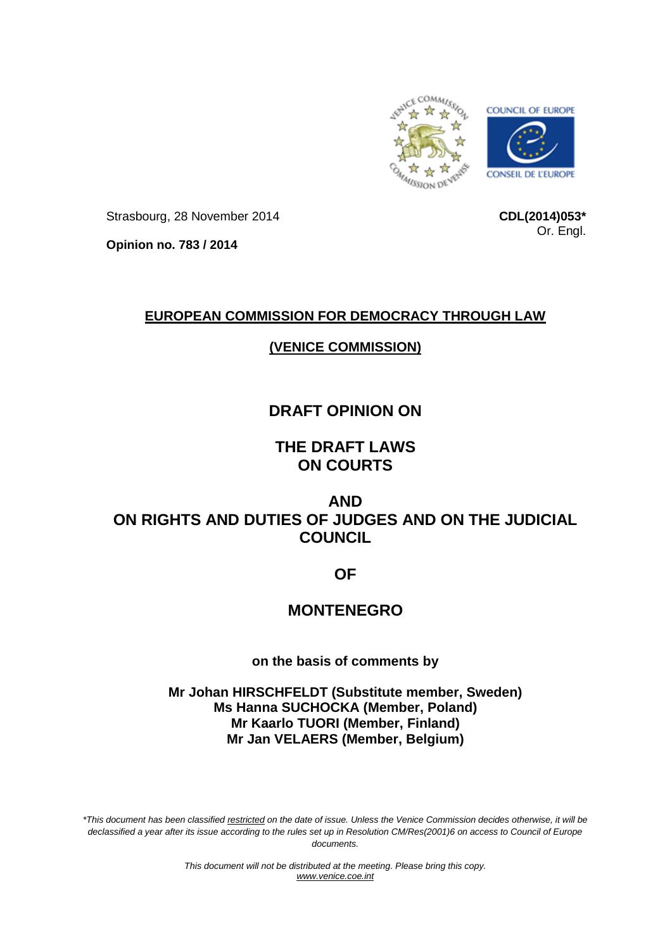

Strasbourg, 28 November 2014

**CDL(2014)053\*** Or. Engl.

**Opinion no. 783 / 2014**

# **EUROPEAN COMMISSION FOR DEMOCRACY THROUGH LAW**

# **(VENICE COMMISSION)**

# **DRAFT OPINION ON**

**THE DRAFT LAWS ON COURTS** 

**AND ON RIGHTS AND DUTIES OF JUDGES AND ON THE JUDICIAL COUNCIL**

**OF**

# **MONTENEGRO**

**on the basis of comments by**

**Mr Johan HIRSCHFELDT (Substitute member, Sweden) Ms Hanna SUCHOCKA (Member, Poland) Mr Kaarlo TUORI (Member, Finland) Mr Jan VELAERS (Member, Belgium)**

*\*This document has been classified restricted on the date of issue. Unless the Venice Commission decides otherwise, it will be declassified a year after its issue according to the rules set up in Resolution CM/Res(2001)6 on access to Council of Europe documents.*

> *This document will not be distributed at the meeting. Please bring this copy. [www.venice.coe.int](http://www.venice.coe.int/)*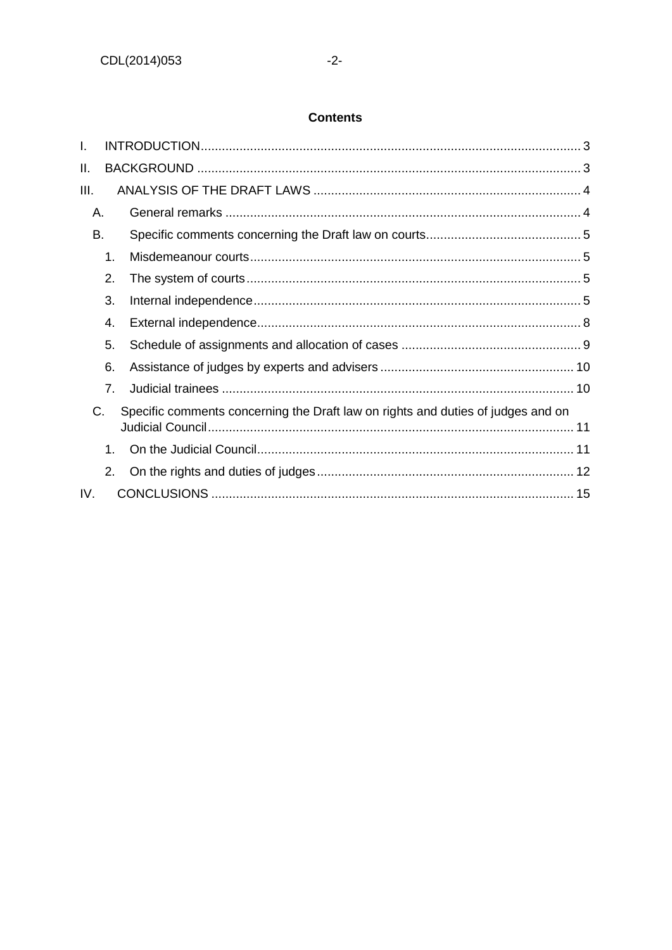## **Contents**

| I.   |    |                                                                                  |  |
|------|----|----------------------------------------------------------------------------------|--|
| ΙΙ.  |    |                                                                                  |  |
| III. |    |                                                                                  |  |
| Α.   |    |                                                                                  |  |
| B.   |    |                                                                                  |  |
|      | 1. |                                                                                  |  |
|      | 2. |                                                                                  |  |
|      | 3. |                                                                                  |  |
|      | 4. |                                                                                  |  |
|      | 5. |                                                                                  |  |
|      | 6. |                                                                                  |  |
|      | 7. |                                                                                  |  |
| C.   |    | Specific comments concerning the Draft law on rights and duties of judges and on |  |
|      | 1. |                                                                                  |  |
|      | 2. |                                                                                  |  |
| IV.  |    |                                                                                  |  |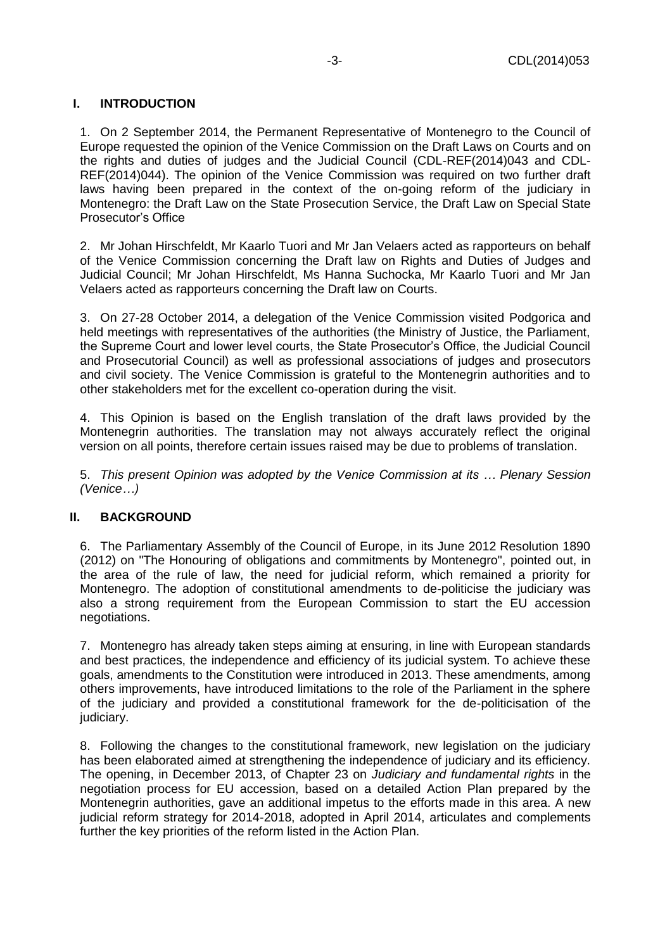## <span id="page-2-0"></span>**I. INTRODUCTION**

1. On 2 September 2014, the Permanent Representative of Montenegro to the Council of Europe requested the opinion of the Venice Commission on the Draft Laws on Courts and on the rights and duties of judges and the Judicial Council (CDL-REF(2014)043 and CDL-REF(2014)044). The opinion of the Venice Commission was required on two further draft laws having been prepared in the context of the on-going reform of the judiciary in Montenegro: the Draft Law on the State Prosecution Service, the Draft Law on Special State Prosecutor's Office

2. Mr Johan Hirschfeldt, Mr Kaarlo Tuori and Mr Jan Velaers acted as rapporteurs on behalf of the Venice Commission concerning the Draft law on Rights and Duties of Judges and Judicial Council; Mr Johan Hirschfeldt, Ms Hanna Suchocka, Mr Kaarlo Tuori and Mr Jan Velaers acted as rapporteurs concerning the Draft law on Courts.

3. On 27-28 October 2014, a delegation of the Venice Commission visited Podgorica and held meetings with representatives of the authorities (the Ministry of Justice, the Parliament, the Supreme Court and lower level courts, the State Prosecutor's Office, the Judicial Council and Prosecutorial Council) as well as professional associations of judges and prosecutors and civil society. The Venice Commission is grateful to the Montenegrin authorities and to other stakeholders met for the excellent co-operation during the visit.

4. This Opinion is based on the English translation of the draft laws provided by the Montenegrin authorities. The translation may not always accurately reflect the original version on all points, therefore certain issues raised may be due to problems of translation.

5. *This present Opinion was adopted by the Venice Commission at its … Plenary Session (Venice…)*

## <span id="page-2-1"></span>**II. BACKGROUND**

6. The Parliamentary Assembly of the Council of Europe, in its June 2012 Resolution 1890 (2012) on "The Honouring of obligations and commitments by Montenegro", pointed out, in the area of the rule of law, the need for judicial reform, which remained a priority for Montenegro. The adoption of constitutional amendments to de-politicise the judiciary was also a strong requirement from the European Commission to start the EU accession negotiations.

7. Montenegro has already taken steps aiming at ensuring, in line with European standards and best practices, the independence and efficiency of its judicial system. To achieve these goals, amendments to the Constitution were introduced in 2013. These amendments, among others improvements, have introduced limitations to the role of the Parliament in the sphere of the judiciary and provided a constitutional framework for the de-politicisation of the judiciary.

8. Following the changes to the constitutional framework, new legislation on the judiciary has been elaborated aimed at strengthening the independence of judiciary and its efficiency. The opening, in December 2013, of Chapter 23 on *Judiciary and fundamental rights* in the negotiation process for EU accession, based on a detailed Action Plan prepared by the Montenegrin authorities, gave an additional impetus to the efforts made in this area. A new judicial reform strategy for 2014-2018, adopted in April 2014, articulates and complements further the key priorities of the reform listed in the Action Plan.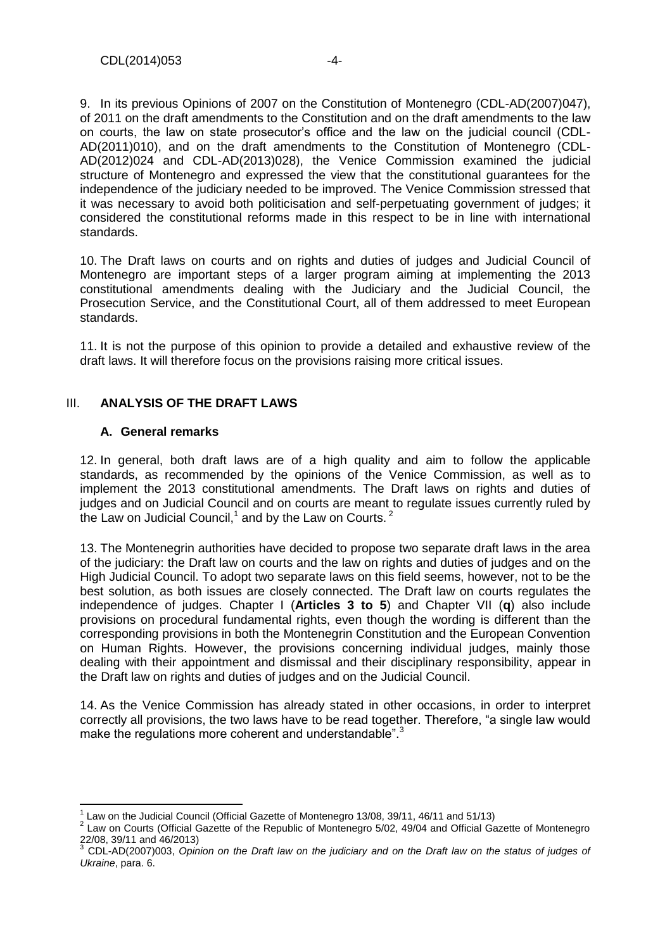9. In its previous Opinions of 2007 on the Constitution of Montenegro (CDL-AD(2007)047), of 2011 on the draft amendments to the Constitution and on the draft amendments to the law on courts, the law on state prosecutor's office and the law on the judicial council (CDL-AD(2011)010), and on the draft amendments to the Constitution of Montenegro (CDL-AD(2012)024 and CDL-AD(2013)028), the Venice Commission examined the judicial structure of Montenegro and expressed the view that the constitutional guarantees for the independence of the judiciary needed to be improved. The Venice Commission stressed that it was necessary to avoid both politicisation and self-perpetuating government of judges; it considered the constitutional reforms made in this respect to be in line with international standards.

10. The Draft laws on courts and on rights and duties of judges and Judicial Council of Montenegro are important steps of a larger program aiming at implementing the 2013 constitutional amendments dealing with the Judiciary and the Judicial Council, the Prosecution Service, and the Constitutional Court, all of them addressed to meet European standards.

11. It is not the purpose of this opinion to provide a detailed and exhaustive review of the draft laws. It will therefore focus on the provisions raising more critical issues.

## <span id="page-3-0"></span>III. **ANALYSIS OF THE DRAFT LAWS**

#### <span id="page-3-1"></span>**A. General remarks**

12. In general, both draft laws are of a high quality and aim to follow the applicable standards, as recommended by the opinions of the Venice Commission, as well as to implement the 2013 constitutional amendments. The Draft laws on rights and duties of judges and on Judicial Council and on courts are meant to regulate issues currently ruled by the Law on Judicial Council, $^1$  and by the Law on Courts.  $^2$ 

13. The Montenegrin authorities have decided to propose two separate draft laws in the area of the judiciary: the Draft law on courts and the law on rights and duties of judges and on the High Judicial Council. To adopt two separate laws on this field seems, however, not to be the best solution, as both issues are closely connected. The Draft law on courts regulates the independence of judges. Chapter I (**Articles 3 to 5**) and Chapter VII (**q**) also include provisions on procedural fundamental rights, even though the wording is different than the corresponding provisions in both the Montenegrin Constitution and the European Convention on Human Rights. However, the provisions concerning individual judges, mainly those dealing with their appointment and dismissal and their disciplinary responsibility, appear in the Draft law on rights and duties of judges and on the Judicial Council.

14. As the Venice Commission has already stated in other occasions, in order to interpret correctly all provisions, the two laws have to be read together. Therefore, "a single law would make the regulations more coherent and understandable".<sup>3</sup>

 1 Law on the Judicial Council (Official Gazette of Montenegro 13/08, 39/11, 46/11 and 51/13)

 $2$  Law on Courts (Official Gazette of the Republic of Montenegro 5/02, 49/04 and Official Gazette of Montenegro 22/08, 39/11 and 46/2013)

<sup>3</sup> CDL-AD(2007)003, *Opinion on the Draft law on the judiciary and on the Draft law on the status of judges of Ukraine*, para. 6.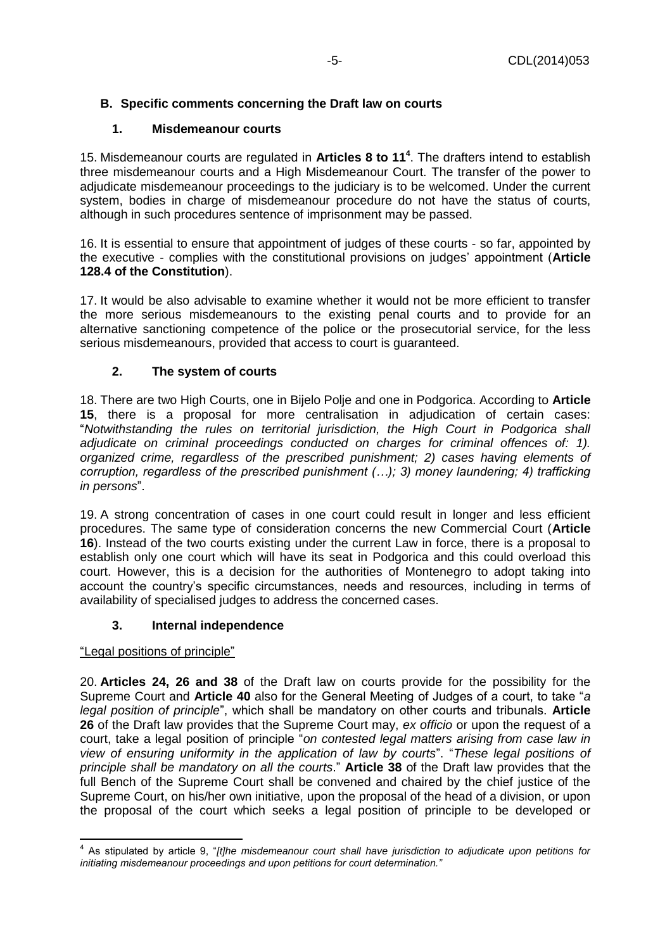## <span id="page-4-1"></span><span id="page-4-0"></span>**B. Specific comments concerning the Draft law on courts**

## **1. Misdemeanour courts**

15. Misdemeanour courts are regulated in **Articles 8 to 11<sup>4</sup>** . The drafters intend to establish three misdemeanour courts and a High Misdemeanour Court. The transfer of the power to adjudicate misdemeanour proceedings to the judiciary is to be welcomed. Under the current system, bodies in charge of misdemeanour procedure do not have the status of courts, although in such procedures sentence of imprisonment may be passed.

16. It is essential to ensure that appointment of judges of these courts - so far, appointed by the executive - complies with the constitutional provisions on judges' appointment (**Article 128.4 of the Constitution**).

17. It would be also advisable to examine whether it would not be more efficient to transfer the more serious misdemeanours to the existing penal courts and to provide for an alternative sanctioning competence of the police or the prosecutorial service, for the less serious misdemeanours, provided that access to court is guaranteed.

## **2. The system of courts**

<span id="page-4-2"></span>18. There are two High Courts, one in Bijelo Polje and one in Podgorica. According to **Article 15**, there is a proposal for more centralisation in adjudication of certain cases: "*Notwithstanding the rules on territorial jurisdiction, the High Court in Podgorica shall adjudicate on criminal proceedings conducted on charges for criminal offences of: 1). organized crime, regardless of the prescribed punishment; 2) cases having elements of corruption, regardless of the prescribed punishment (…); 3) money laundering; 4) trafficking in persons*".

19. A strong concentration of cases in one court could result in longer and less efficient procedures. The same type of consideration concerns the new Commercial Court (**Article 16**). Instead of the two courts existing under the current Law in force, there is a proposal to establish only one court which will have its seat in Podgorica and this could overload this court. However, this is a decision for the authorities of Montenegro to adopt taking into account the country's specific circumstances, needs and resources, including in terms of availability of specialised judges to address the concerned cases.

## **3. Internal independence**

## <span id="page-4-3"></span>"Legal positions of principle"

20. **Articles 24, 26 and 38** of the Draft law on courts provide for the possibility for the Supreme Court and **Article 40** also for the General Meeting of Judges of a court, to take "*a legal position of principle*", which shall be mandatory on other courts and tribunals. **Article 26** of the Draft law provides that the Supreme Court may, *ex officio* or upon the request of a court, take a legal position of principle "*on contested legal matters arising from case law in view of ensuring uniformity in the application of law by courts*". "*These legal positions of principle shall be mandatory on all the courts*." **Article 38** of the Draft law provides that the full Bench of the Supreme Court shall be convened and chaired by the chief justice of the Supreme Court, on his/her own initiative, upon the proposal of the head of a division, or upon the proposal of the court which seeks a legal position of principle to be developed or

 4 As stipulated by article 9, "*[t]he misdemeanour court shall have jurisdiction to adjudicate upon petitions for initiating misdemeanour proceedings and upon petitions for court determination."*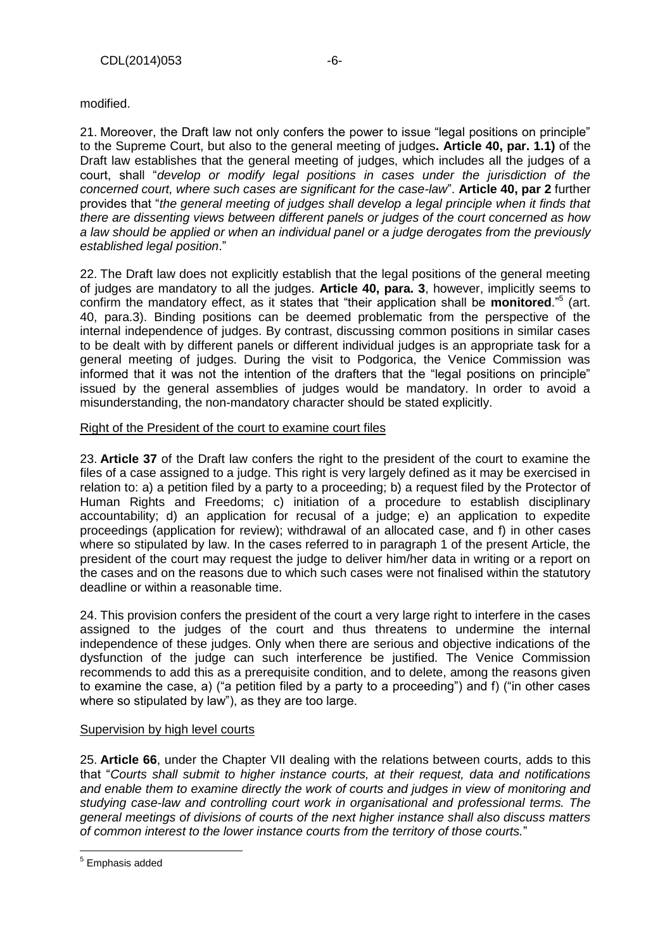modified.

21. Moreover, the Draft law not only confers the power to issue "legal positions on principle" to the Supreme Court, but also to the general meeting of judges**. Article 40, par. 1.1)** of the Draft law establishes that the general meeting of judges, which includes all the judges of a court, shall "*develop or modify legal positions in cases under the jurisdiction of the concerned court, where such cases are significant for the case-law*". **Article 40, par 2** further provides that "*the general meeting of judges shall develop a legal principle when it finds that there are dissenting views between different panels or judges of the court concerned as how a law should be applied or when an individual panel or a judge derogates from the previously established legal position*."

22. The Draft law does not explicitly establish that the legal positions of the general meeting of judges are mandatory to all the judges. **Article 40, para. 3**, however, implicitly seems to confirm the mandatory effect, as it states that "their application shall be **monitored**."<sup>5</sup> (art. 40, para.3). Binding positions can be deemed problematic from the perspective of the internal independence of judges. By contrast, discussing common positions in similar cases to be dealt with by different panels or different individual judges is an appropriate task for a general meeting of judges. During the visit to Podgorica, the Venice Commission was informed that it was not the intention of the drafters that the "legal positions on principle" issued by the general assemblies of judges would be mandatory. In order to avoid a misunderstanding, the non-mandatory character should be stated explicitly.

#### Right of the President of the court to examine court files

23. **Article 37** of the Draft law confers the right to the president of the court to examine the files of a case assigned to a judge. This right is very largely defined as it may be exercised in relation to: a) a petition filed by a party to a proceeding; b) a request filed by the Protector of Human Rights and Freedoms; c) initiation of a procedure to establish disciplinary accountability; d) an application for recusal of a judge; e) an application to expedite proceedings (application for review); withdrawal of an allocated case, and f) in other cases where so stipulated by law. In the cases referred to in paragraph 1 of the present Article, the president of the court may request the judge to deliver him/her data in writing or a report on the cases and on the reasons due to which such cases were not finalised within the statutory deadline or within a reasonable time.

24. This provision confers the president of the court a very large right to interfere in the cases assigned to the judges of the court and thus threatens to undermine the internal independence of these judges. Only when there are serious and objective indications of the dysfunction of the judge can such interference be justified. The Venice Commission recommends to add this as a prerequisite condition, and to delete, among the reasons given to examine the case, a) ("a petition filed by a party to a proceeding") and f) ("in other cases where so stipulated by law"), as they are too large.

## Supervision by high level courts

25. **Article 66**, under the Chapter VII dealing with the relations between courts, adds to this that "*Courts shall submit to higher instance courts, at their request, data and notifications and enable them to examine directly the work of courts and judges in view of monitoring and studying case-law and controlling court work in organisational and professional terms. The general meetings of divisions of courts of the next higher instance shall also discuss matters of common interest to the lower instance courts from the territory of those courts.*"

 5 Emphasis added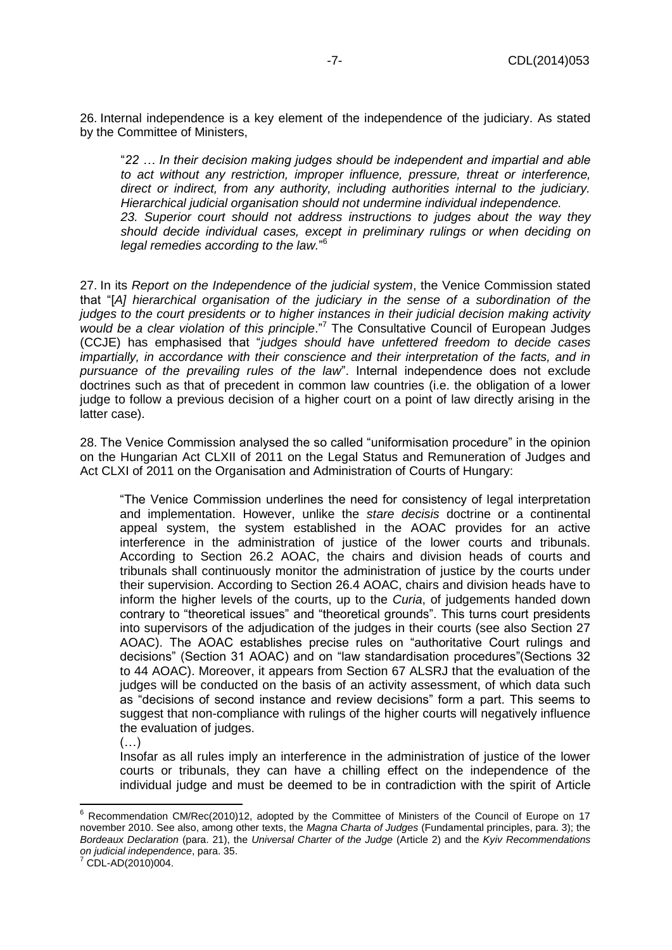26. Internal independence is a key element of the independence of the judiciary. As stated by the Committee of Ministers,

"*22 … In their decision making judges should be independent and impartial and able to act without any restriction, improper influence, pressure, threat or interference, direct or indirect, from any authority, including authorities internal to the judiciary. Hierarchical judicial organisation should not undermine individual independence. 23. Superior court should not address instructions to judges about the way they should decide individual cases, except in preliminary rulings or when deciding on legal remedies according to the law.*" 6

27. In its *Report on the Independence of the judicial system*, the Venice Commission stated that "[*A] hierarchical organisation of the judiciary in the sense of a subordination of the judges to the court presidents or to higher instances in their judicial decision making activity would be a clear violation of this principle*."<sup>7</sup> The Consultative Council of European Judges (CCJE) has emphasised that "*judges should have unfettered freedom to decide cases impartially, in accordance with their conscience and their interpretation of the facts, and in pursuance of the prevailing rules of the law*". Internal independence does not exclude doctrines such as that of precedent in common law countries (i.e. the obligation of a lower judge to follow a previous decision of a higher court on a point of law directly arising in the latter case).

28. The Venice Commission analysed the so called "uniformisation procedure" in the opinion on the Hungarian Act CLXII of 2011 on the Legal Status and Remuneration of Judges and Act CLXI of 2011 on the Organisation and Administration of Courts of Hungary:

"The Venice Commission underlines the need for consistency of legal interpretation and implementation. However, unlike the *stare decisis* doctrine or a continental appeal system, the system established in the AOAC provides for an active interference in the administration of justice of the lower courts and tribunals. According to Section 26.2 AOAC, the chairs and division heads of courts and tribunals shall continuously monitor the administration of justice by the courts under their supervision. According to Section 26.4 AOAC, chairs and division heads have to inform the higher levels of the courts, up to the *Curia*, of judgements handed down contrary to "theoretical issues" and "theoretical grounds". This turns court presidents into supervisors of the adjudication of the judges in their courts (see also Section 27 AOAC). The AOAC establishes precise rules on "authoritative Court rulings and decisions" (Section 31 AOAC) and on "law standardisation procedures"(Sections 32 to 44 AOAC). Moreover, it appears from Section 67 ALSRJ that the evaluation of the judges will be conducted on the basis of an activity assessment, of which data such as "decisions of second instance and review decisions" form a part. This seems to suggest that non-compliance with rulings of the higher courts will negatively influence the evaluation of judges.

 $(\ldots)$ 

Insofar as all rules imply an interference in the administration of justice of the lower courts or tribunals, they can have a chilling effect on the independence of the individual judge and must be deemed to be in contradiction with the spirit of Article

 $\overline{a}$ 

 $6$  Recommendation CM/Rec(2010)12, adopted by the Committee of Ministers of the Council of Europe on 17 november 2010. See also, among other texts, the *Magna Charta of Judges* (Fundamental principles, para. 3); the *Bordeaux Declaration* (para. 21), the *Universal Charter of the Judge* (Article 2) and the *Kyiv Recommendations on judicial independence*, para. 35.

CDL-AD(2010)004.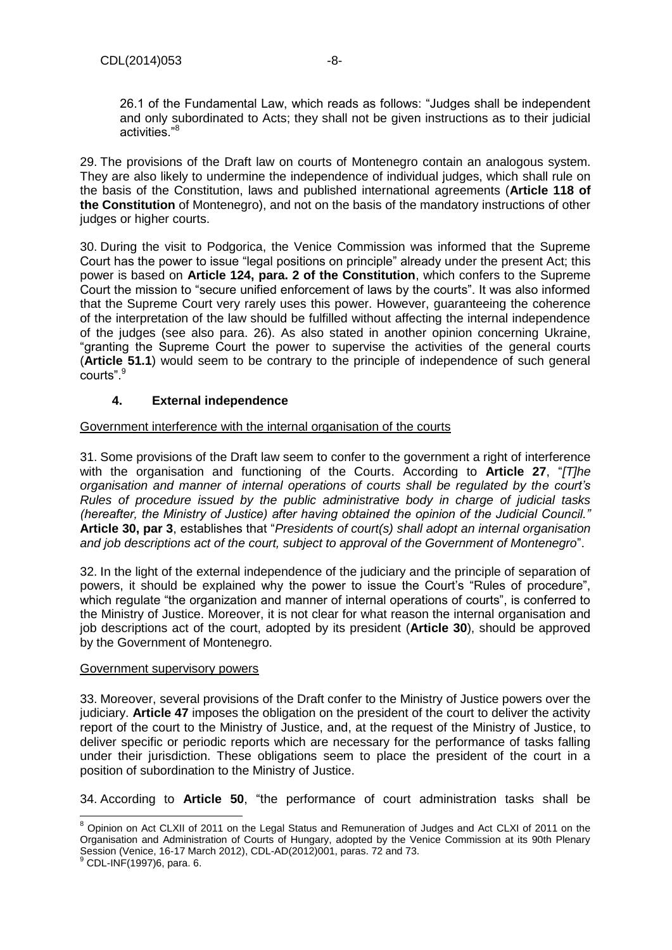26.1 of the Fundamental Law, which reads as follows: "Judges shall be independent and only subordinated to Acts; they shall not be given instructions as to their judicial activities."<sup>8</sup>

29. The provisions of the Draft law on courts of Montenegro contain an analogous system. They are also likely to undermine the independence of individual judges, which shall rule on the basis of the Constitution, laws and published international agreements (**Article 118 of the Constitution** of Montenegro), and not on the basis of the mandatory instructions of other judges or higher courts.

30. During the visit to Podgorica, the Venice Commission was informed that the Supreme Court has the power to issue "legal positions on principle" already under the present Act; this power is based on **Article 124, para. 2 of the Constitution**, which confers to the Supreme Court the mission to "secure unified enforcement of laws by the courts". It was also informed that the Supreme Court very rarely uses this power. However, guaranteeing the coherence of the interpretation of the law should be fulfilled without affecting the internal independence of the judges (see also para. 26). As also stated in another opinion concerning Ukraine, "granting the Supreme Court the power to supervise the activities of the general courts (**Article 51.1**) would seem to be contrary to the principle of independence of such general courts".<sup>9</sup>

## **4. External independence**

#### <span id="page-7-0"></span>Government interference with the internal organisation of the courts

31. Some provisions of the Draft law seem to confer to the government a right of interference with the organisation and functioning of the Courts. According to **Article 27**, "*[T]he organisation and manner of internal operations of courts shall be regulated by the court's Rules of procedure issued by the public administrative body in charge of judicial tasks (hereafter, the Ministry of Justice) after having obtained the opinion of the Judicial Council."*  **Article 30, par 3**, establishes that "*Presidents of court(s) shall adopt an internal organisation and job descriptions act of the court, subject to approval of the Government of Montenegro*".

32. In the light of the external independence of the judiciary and the principle of separation of powers, it should be explained why the power to issue the Court's "Rules of procedure", which regulate "the organization and manner of internal operations of courts", is conferred to the Ministry of Justice. Moreover, it is not clear for what reason the internal organisation and job descriptions act of the court, adopted by its president (**Article 30**), should be approved by the Government of Montenegro.

#### Government supervisory powers

33. Moreover, several provisions of the Draft confer to the Ministry of Justice powers over the judiciary. **Article 47** imposes the obligation on the president of the court to deliver the activity report of the court to the Ministry of Justice, and, at the request of the Ministry of Justice, to deliver specific or periodic reports which are necessary for the performance of tasks falling under their jurisdiction. These obligations seem to place the president of the court in a position of subordination to the Ministry of Justice.

34. According to **Article 50**, "the performance of court administration tasks shall be

 $\overline{\phantom{a}}$ 

<sup>&</sup>lt;sup>8</sup> Opinion on Act CLXII of 2011 on the Legal Status and Remuneration of Judges and Act CLXI of 2011 on the [Organisation and Administration of Courts of Hungary, adopted by the Venice Commission at its 90th Plenary](http://www.venice.coe.int/webforms/documents/?pdf=CDL-AD(2012)001-e)  [Session \(Venice, 16-17 March 2012\),](http://www.venice.coe.int/webforms/documents/?pdf=CDL-AD(2012)001-e) CDL-AD(2012)001, paras. 72 and 73.

<sup>9</sup> CDL-INF(1997)6, para. 6.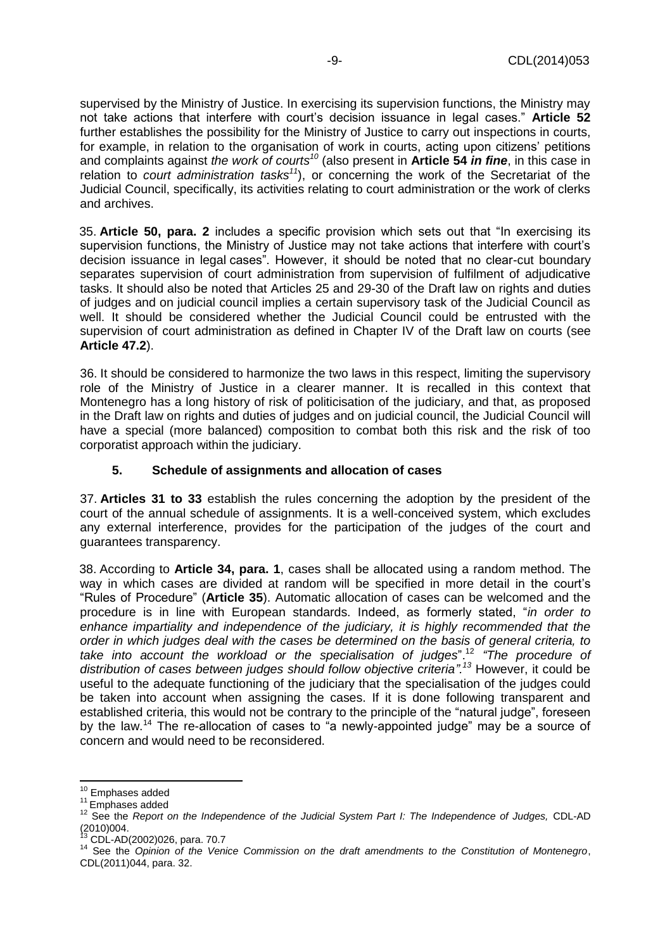supervised by the Ministry of Justice. In exercising its supervision functions, the Ministry may not take actions that interfere with court's decision issuance in legal cases." **Article 52** further establishes the possibility for the Ministry of Justice to carry out inspections in courts, for example, in relation to the organisation of work in courts, acting upon citizens' petitions and complaints against *the work of courts<sup>10</sup>* (also present in **Article 54** *in fine*, in this case in relation to *court administration tasks<sup>11</sup>*), or concerning the work of the Secretariat of the Judicial Council, specifically, its activities relating to court administration or the work of clerks and archives.

35. **Article 50, para. 2** includes a specific provision which sets out that "In exercising its supervision functions, the Ministry of Justice may not take actions that interfere with court's decision issuance in legal cases". However, it should be noted that no clear-cut boundary separates supervision of court administration from supervision of fulfilment of adjudicative tasks. It should also be noted that Articles 25 and 29-30 of the Draft law on rights and duties of judges and on judicial council implies a certain supervisory task of the Judicial Council as well. It should be considered whether the Judicial Council could be entrusted with the supervision of court administration as defined in Chapter IV of the Draft law on courts (see **Article 47.2**).

36. It should be considered to harmonize the two laws in this respect, limiting the supervisory role of the Ministry of Justice in a clearer manner. It is recalled in this context that Montenegro has a long history of risk of politicisation of the judiciary, and that, as proposed in the Draft law on rights and duties of judges and on judicial council, the Judicial Council will have a special (more balanced) composition to combat both this risk and the risk of too corporatist approach within the judiciary.

## <span id="page-8-0"></span>**5. Schedule of assignments and allocation of cases**

37. **Articles 31 to 33** establish the rules concerning the adoption by the president of the court of the annual schedule of assignments. It is a well-conceived system, which excludes any external interference, provides for the participation of the judges of the court and guarantees transparency.

38. According to **Article 34, para. 1**, cases shall be allocated using a random method. The way in which cases are divided at random will be specified in more detail in the court's "Rules of Procedure" (**Article 35**). Automatic allocation of cases can be welcomed and the procedure is in line with European standards. Indeed, as formerly stated, "*in order to enhance impartiality and independence of the judiciary, it is highly recommended that the order in which judges deal with the cases be determined on the basis of general criteria, to take into account the workload or the specialisation of judges*".<sup>12</sup> *"The procedure of distribution of cases between judges should follow objective criteria".<sup>13</sup>* However, it could be useful to the adequate functioning of the judiciary that the specialisation of the judges could be taken into account when assigning the cases. If it is done following transparent and established criteria, this would not be contrary to the principle of the "natural judge", foreseen by the law.<sup>14</sup> The re-allocation of cases to "a newly-appointed judge" may be a source of concern and would need to be reconsidered.

 $\overline{\phantom{a}}$ 

<sup>13</sup> CDL-AD(2002)026, para. 70.7

<sup>&</sup>lt;sup>10</sup> Emphases added

<sup>&</sup>lt;sup>11</sup> Emphases added

<sup>&</sup>lt;sup>12</sup> See the *Report on the Independence of the Judicial System Part I: The Independence of Judges, CDL-AD*  $(2010)004$ .

<sup>14</sup> See the *Opinion of the Venice Commission on the draft amendments to the Constitution of Montenegro*, CDL(2011)044, para. 32.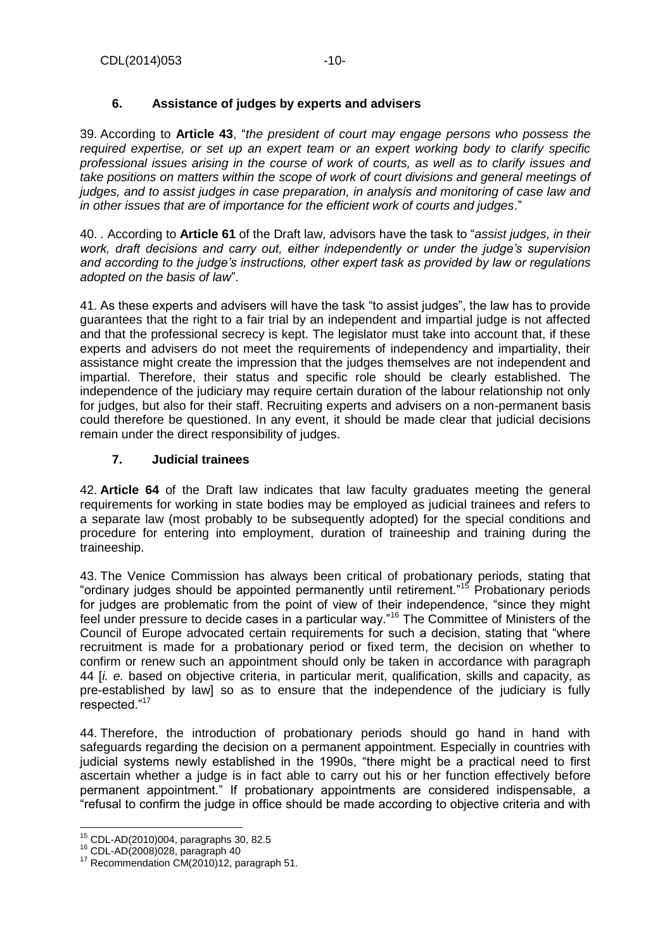# **6. Assistance of judges by experts and advisers**

<span id="page-9-0"></span>39. According to **Article 43**, "*the president of court may engage persons who possess the required expertise, or set up an expert team or an expert working body to clarify specific professional issues arising in the course of work of courts, as well as to clarify issues and take positions on matters within the scope of work of court divisions and general meetings of judges, and to assist judges in case preparation, in analysis and monitoring of case law and in other issues that are of importance for the efficient work of courts and judges*."

40. . According to **Article 61** of the Draft law, advisors have the task to "*assist judges, in their work, draft decisions and carry out, either independently or under the judge's supervision and according to the judge's instructions, other expert task as provided by law or regulations adopted on the basis of law*".

41. As these experts and advisers will have the task "to assist judges", the law has to provide guarantees that the right to a fair trial by an independent and impartial judge is not affected and that the professional secrecy is kept. The legislator must take into account that, if these experts and advisers do not meet the requirements of independency and impartiality, their assistance might create the impression that the judges themselves are not independent and impartial. Therefore, their status and specific role should be clearly established. The independence of the judiciary may require certain duration of the labour relationship not only for judges, but also for their staff. Recruiting experts and advisers on a non-permanent basis could therefore be questioned. In any event, it should be made clear that judicial decisions remain under the direct responsibility of judges.

## <span id="page-9-1"></span>**7. Judicial trainees**

42. **Article 64** of the Draft law indicates that law faculty graduates meeting the general requirements for working in state bodies may be employed as judicial trainees and refers to a separate law (most probably to be subsequently adopted) for the special conditions and procedure for entering into employment, duration of traineeship and training during the traineeship.

43. The Venice Commission has always been critical of probationary periods, stating that "ordinary judges should be appointed permanently until retirement."<sup>15</sup> Probationary periods for judges are problematic from the point of view of their independence, "since they might feel under pressure to decide cases in a particular way."<sup>16</sup> The Committee of Ministers of the Council of Europe advocated certain requirements for such a decision, stating that "where recruitment is made for a probationary period or fixed term, the decision on whether to confirm or renew such an appointment should only be taken in accordance with paragraph 44 [*i. e.* based on objective criteria, in particular merit, qualification, skills and capacity, as pre-established by law] so as to ensure that the independence of the judiciary is fully respected."<sup>17</sup>

44. Therefore, the introduction of probationary periods should go hand in hand with safeguards regarding the decision on a permanent appointment. Especially in countries with judicial systems newly established in the 1990s, "there might be a practical need to first ascertain whether a judge is in fact able to carry out his or her function effectively before permanent appointment." If probationary appointments are considered indispensable, a "refusal to confirm the judge in office should be made according to objective criteria and with

l

 $^{15}$  CDL-AD(2010)004, paragraphs 30, 82.5

<sup>16</sup> CDL-AD(2008)028, paragraph 40

<sup>&</sup>lt;sup>17</sup> Recommendation CM(2010)12, paragraph 51.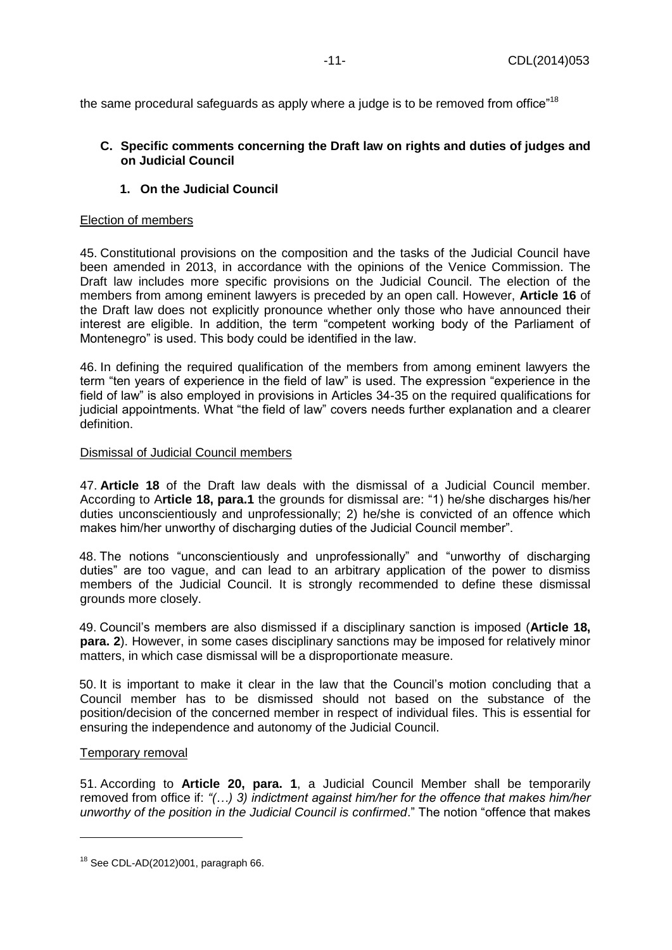the same procedural safeguards as apply where a judge is to be removed from office"<sup>18</sup>

## <span id="page-10-0"></span>**C. Specific comments concerning the Draft law on rights and duties of judges and on Judicial Council**

## **1. On the Judicial Council**

#### <span id="page-10-1"></span>Election of members

45. Constitutional provisions on the composition and the tasks of the Judicial Council have been amended in 2013, in accordance with the opinions of the Venice Commission. The Draft law includes more specific provisions on the Judicial Council. The election of the members from among eminent lawyers is preceded by an open call. However, **Article 16** of the Draft law does not explicitly pronounce whether only those who have announced their interest are eligible. In addition, the term "competent working body of the Parliament of Montenegro" is used. This body could be identified in the law.

46. In defining the required qualification of the members from among eminent lawyers the term "ten years of experience in the field of law" is used. The expression "experience in the field of law" is also employed in provisions in Articles 34-35 on the required qualifications for judicial appointments. What "the field of law" covers needs further explanation and a clearer definition.

#### Dismissal of Judicial Council members

47. **Article 18** of the Draft law deals with the dismissal of a Judicial Council member. According to A**rticle 18, para.1** the grounds for dismissal are: "1) he/she discharges his/her duties unconscientiously and unprofessionally; 2) he/she is convicted of an offence which makes him/her unworthy of discharging duties of the Judicial Council member".

48. The notions "unconscientiously and unprofessionally" and "unworthy of discharging duties" are too vague, and can lead to an arbitrary application of the power to dismiss members of the Judicial Council. It is strongly recommended to define these dismissal grounds more closely.

49. Council's members are also dismissed if a disciplinary sanction is imposed (**Article 18, para. 2**). However, in some cases disciplinary sanctions may be imposed for relatively minor matters, in which case dismissal will be a disproportionate measure.

50. It is important to make it clear in the law that the Council's motion concluding that a Council member has to be dismissed should not based on the substance of the position/decision of the concerned member in respect of individual files. This is essential for ensuring the independence and autonomy of the Judicial Council.

#### Temporary removal

 $\overline{\phantom{a}}$ 

51. According to **Article 20, para. 1**, a Judicial Council Member shall be temporarily removed from office if: *"(…) 3) indictment against him/her for the offence that makes him/her unworthy of the position in the Judicial Council is confirmed*." The notion "offence that makes

 $18$  See CDL-AD(2012)001, paragraph 66.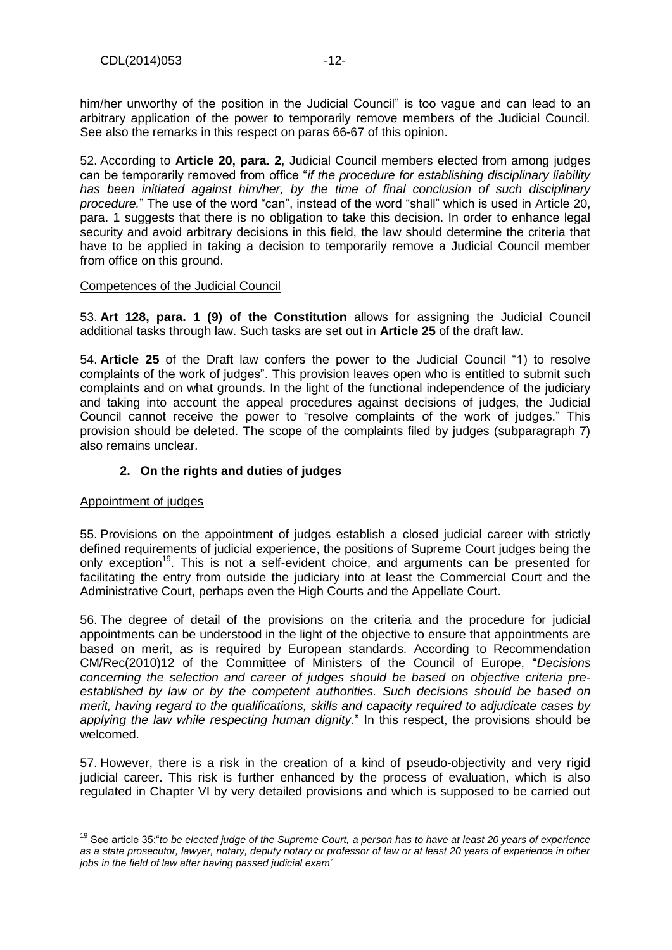him/her unworthy of the position in the Judicial Council" is too vague and can lead to an arbitrary application of the power to temporarily remove members of the Judicial Council. See also the remarks in this respect on paras 66-67 of this opinion.

52. According to **Article 20, para. 2**, Judicial Council members elected from among judges can be temporarily removed from office "*if the procedure for establishing disciplinary liability*  has been initiated against him/her, by the time of final conclusion of such disciplinary *procedure.*" The use of the word "can", instead of the word "shall" which is used in Article 20, para. 1 suggests that there is no obligation to take this decision. In order to enhance legal security and avoid arbitrary decisions in this field, the law should determine the criteria that have to be applied in taking a decision to temporarily remove a Judicial Council member from office on this ground.

#### Competences of the Judicial Council

53. **Art 128, para. 1 (9) of the Constitution** allows for assigning the Judicial Council additional tasks through law. Such tasks are set out in **Article 25** of the draft law.

54. **Article 25** of the Draft law confers the power to the Judicial Council "1) to resolve complaints of the work of judges". This provision leaves open who is entitled to submit such complaints and on what grounds. In the light of the functional independence of the judiciary and taking into account the appeal procedures against decisions of judges, the Judicial Council cannot receive the power to "resolve complaints of the work of judges." This provision should be deleted. The scope of the complaints filed by judges (subparagraph 7) also remains unclear.

## **2. On the rights and duties of judges**

## <span id="page-11-0"></span>Appointment of judges

l

55. Provisions on the appointment of judges establish a closed judicial career with strictly defined requirements of judicial experience, the positions of Supreme Court judges being the only exception<sup>19</sup>. This is not a self-evident choice, and arguments can be presented for facilitating the entry from outside the judiciary into at least the Commercial Court and the Administrative Court, perhaps even the High Courts and the Appellate Court.

56. The degree of detail of the provisions on the criteria and the procedure for judicial appointments can be understood in the light of the objective to ensure that appointments are based on merit, as is required by European standards. According to Recommendation CM/Rec(2010)12 of the Committee of Ministers of the Council of Europe, "*Decisions concerning the selection and career of judges should be based on objective criteria preestablished by law or by the competent authorities. Such decisions should be based on merit, having regard to the qualifications, skills and capacity required to adjudicate cases by applying the law while respecting human dignity.*" In this respect, the provisions should be welcomed.

57. However, there is a risk in the creation of a kind of pseudo-objectivity and very rigid judicial career. This risk is further enhanced by the process of evaluation, which is also regulated in Chapter VI by very detailed provisions and which is supposed to be carried out

<sup>19</sup> See article 35:"*to be elected judge of the Supreme Court, a person has to have at least 20 years of experience as a state prosecutor, lawyer, notary, deputy notary or professor of law or at least 20 years of experience in other jobs in the field of law after having passed judicial exam*"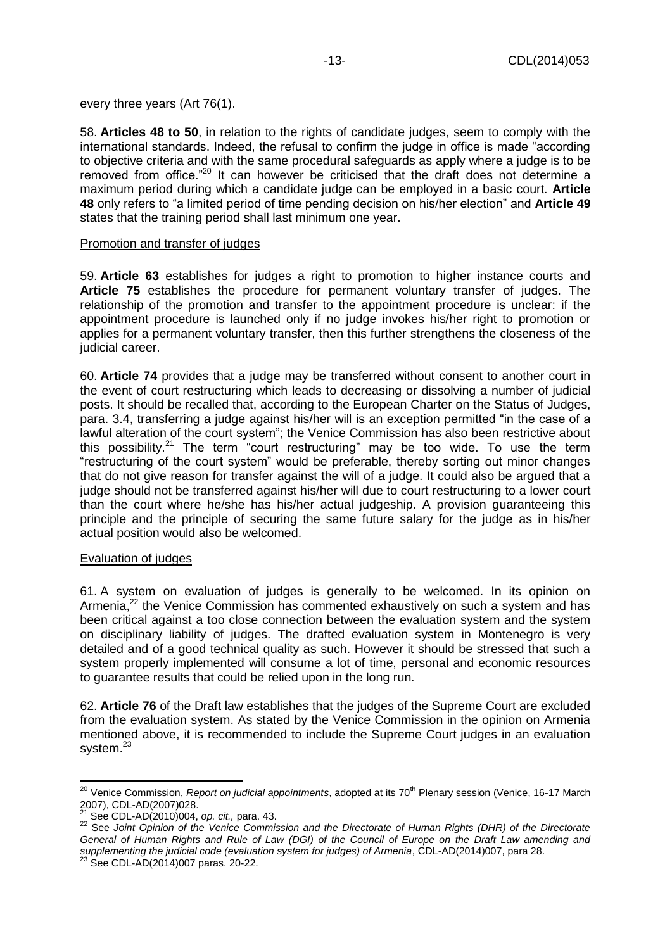every three years (Art 76(1).

58. **Articles 48 to 50**, in relation to the rights of candidate judges, seem to comply with the international standards. Indeed, the refusal to confirm the judge in office is made "according to objective criteria and with the same procedural safeguards as apply where a judge is to be removed from office."<sup>20</sup> It can however be criticised that the draft does not determine a maximum period during which a candidate judge can be employed in a basic court. **Article 48** only refers to "a limited period of time pending decision on his/her election" and **Article 49** states that the training period shall last minimum one year.

#### Promotion and transfer of judges

59. **Article 63** establishes for judges a right to promotion to higher instance courts and **Article 75** establishes the procedure for permanent voluntary transfer of judges. The relationship of the promotion and transfer to the appointment procedure is unclear: if the appointment procedure is launched only if no judge invokes his/her right to promotion or applies for a permanent voluntary transfer, then this further strengthens the closeness of the judicial career.

60. **Article 74** provides that a judge may be transferred without consent to another court in the event of court restructuring which leads to decreasing or dissolving a number of judicial posts. It should be recalled that, according to the European Charter on the Status of Judges, para. 3.4, transferring a judge against his/her will is an exception permitted "in the case of a lawful alteration of the court system"; the Venice Commission has also been restrictive about this possibility. $21$  The term "court restructuring" may be too wide. To use the term "restructuring of the court system" would be preferable, thereby sorting out minor changes that do not give reason for transfer against the will of a judge. It could also be argued that a judge should not be transferred against his/her will due to court restructuring to a lower court than the court where he/she has his/her actual judgeship. A provision guaranteeing this principle and the principle of securing the same future salary for the judge as in his/her actual position would also be welcomed.

## Evaluation of judges

61. A system on evaluation of judges is generally to be welcomed. In its opinion on Armenia, $^{22}$  the Venice Commission has commented exhaustively on such a system and has been critical against a too close connection between the evaluation system and the system on disciplinary liability of judges. The drafted evaluation system in Montenegro is very detailed and of a good technical quality as such. However it should be stressed that such a system properly implemented will consume a lot of time, personal and economic resources to guarantee results that could be relied upon in the long run.

62. **Article 76** of the Draft law establishes that the judges of the Supreme Court are excluded from the evaluation system. As stated by the Venice Commission in the opinion on Armenia mentioned above, it is recommended to include the Supreme Court judges in an evaluation system.<sup>23</sup>

 $\overline{\phantom{a}}$ <sup>20</sup> Venice Commission, *Report on judicial appointments*, adopted at its 70<sup>th</sup> Plenary session (Venice, 16-17 March 2007), CDL-AD(2007)028.

<sup>21</sup> See CDL-AD(2010)004, *op. cit.,* para. 43.

<sup>22</sup> See *Joint Opinion of the Venice Commission and the Directorate of Human Rights (DHR) of the Directorate General of Human Rights and Rule of Law (DGI) of the Council of Europe on the Draft Law amending and supplementing the judicial code (evaluation system for judges) of Armenia*, CDL-AD(2014)007, para 28.

<sup>23</sup> See CDL-AD(2014)007 paras. 20-22.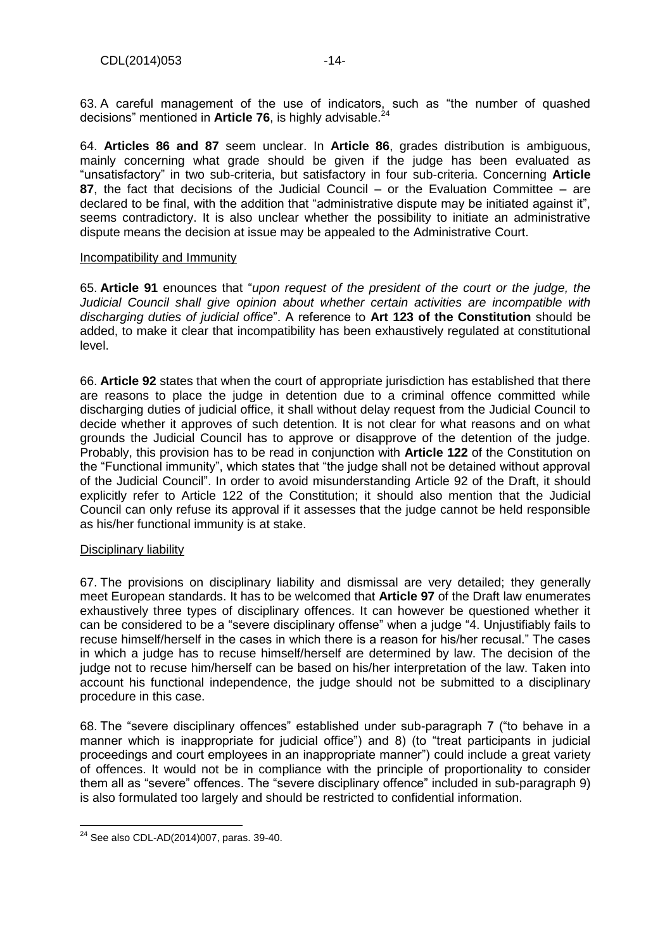63. A careful management of the use of indicators, such as "the number of quashed decisions" mentioned in **Article 76**, is highly advisable.<sup>24</sup>

64. **Articles 86 and 87** seem unclear. In **Article 86**, grades distribution is ambiguous, mainly concerning what grade should be given if the judge has been evaluated as "unsatisfactory" in two sub-criteria, but satisfactory in four sub-criteria. Concerning **Article 87**, the fact that decisions of the Judicial Council – or the Evaluation Committee – are declared to be final, with the addition that "administrative dispute may be initiated against it", seems contradictory. It is also unclear whether the possibility to initiate an administrative dispute means the decision at issue may be appealed to the Administrative Court.

#### Incompatibility and Immunity

65. **Article 91** enounces that "*upon request of the president of the court or the judge, the Judicial Council shall give opinion about whether certain activities are incompatible with discharging duties of judicial office*". A reference to **Art 123 of the Constitution** should be added, to make it clear that incompatibility has been exhaustively regulated at constitutional level.

66. **Article 92** states that when the court of appropriate jurisdiction has established that there are reasons to place the judge in detention due to a criminal offence committed while discharging duties of judicial office, it shall without delay request from the Judicial Council to decide whether it approves of such detention. It is not clear for what reasons and on what grounds the Judicial Council has to approve or disapprove of the detention of the judge. Probably, this provision has to be read in conjunction with **Article 122** of the Constitution on the "Functional immunity", which states that "the judge shall not be detained without approval of the Judicial Council". In order to avoid misunderstanding Article 92 of the Draft, it should explicitly refer to Article 122 of the Constitution; it should also mention that the Judicial Council can only refuse its approval if it assesses that the judge cannot be held responsible as his/her functional immunity is at stake.

## Disciplinary liability

67. The provisions on disciplinary liability and dismissal are very detailed; they generally meet European standards. It has to be welcomed that **Article 97** of the Draft law enumerates exhaustively three types of disciplinary offences. It can however be questioned whether it can be considered to be a "severe disciplinary offense" when a judge "4. Unjustifiably fails to recuse himself/herself in the cases in which there is a reason for his/her recusal." The cases in which a judge has to recuse himself/herself are determined by law. The decision of the judge not to recuse him/herself can be based on his/her interpretation of the law. Taken into account his functional independence, the judge should not be submitted to a disciplinary procedure in this case.

68. The "severe disciplinary offences" established under sub-paragraph 7 ("to behave in a manner which is inappropriate for judicial office") and 8) (to "treat participants in judicial proceedings and court employees in an inappropriate manner") could include a great variety of offences. It would not be in compliance with the principle of proportionality to consider them all as "severe" offences. The "severe disciplinary offence" included in sub-paragraph 9) is also formulated too largely and should be restricted to confidential information.

 $\overline{\phantom{a}}$  $^{24}$  See also CDL-AD(2014)007, paras. 39-40.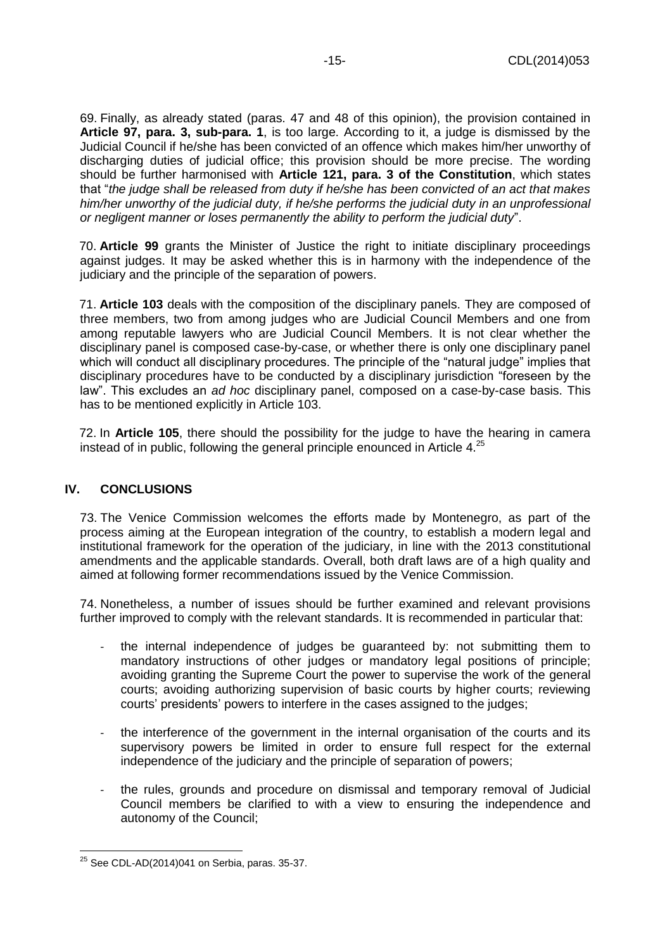69. Finally, as already stated (paras. 47 and 48 of this opinion), the provision contained in **Article 97, para. 3, sub-para. 1**, is too large. According to it, a judge is dismissed by the Judicial Council if he/she has been convicted of an offence which makes him/her unworthy of discharging duties of judicial office; this provision should be more precise. The wording should be further harmonised with **Article 121, para. 3 of the Constitution**, which states that "*the judge shall be released from duty if he/she has been convicted of an act that makes him/her unworthy of the judicial duty, if he/she performs the judicial duty in an unprofessional or negligent manner or loses permanently the ability to perform the judicial duty*".

70. **Article 99** grants the Minister of Justice the right to initiate disciplinary proceedings against judges. It may be asked whether this is in harmony with the independence of the judiciary and the principle of the separation of powers.

71. **Article 103** deals with the composition of the disciplinary panels. They are composed of three members, two from among judges who are Judicial Council Members and one from among reputable lawyers who are Judicial Council Members. It is not clear whether the disciplinary panel is composed case-by-case, or whether there is only one disciplinary panel which will conduct all disciplinary procedures. The principle of the "natural judge" implies that disciplinary procedures have to be conducted by a disciplinary jurisdiction "foreseen by the law". This excludes an *ad hoc* disciplinary panel, composed on a case-by-case basis. This has to be mentioned explicitly in Article 103.

72. In **Article 105**, there should the possibility for the judge to have the hearing in camera instead of in public, following the general principle enounced in Article  $4.^{25}$ 

## <span id="page-14-0"></span>**IV. CONCLUSIONS**

73. The Venice Commission welcomes the efforts made by Montenegro, as part of the process aiming at the European integration of the country, to establish a modern legal and institutional framework for the operation of the judiciary, in line with the 2013 constitutional amendments and the applicable standards. Overall, both draft laws are of a high quality and aimed at following former recommendations issued by the Venice Commission.

74. Nonetheless, a number of issues should be further examined and relevant provisions further improved to comply with the relevant standards. It is recommended in particular that:

- the internal independence of judges be guaranteed by: not submitting them to mandatory instructions of other judges or mandatory legal positions of principle; avoiding granting the Supreme Court the power to supervise the work of the general courts; avoiding authorizing supervision of basic courts by higher courts; reviewing courts' presidents' powers to interfere in the cases assigned to the judges;
- the interference of the government in the internal organisation of the courts and its supervisory powers be limited in order to ensure full respect for the external independence of the judiciary and the principle of separation of powers;
- the rules, grounds and procedure on dismissal and temporary removal of Judicial Council members be clarified to with a view to ensuring the independence and autonomy of the Council;

 $\overline{\phantom{a}}$  $^{25}$  See CDL-AD(2014)041 on Serbia, paras. 35-37.